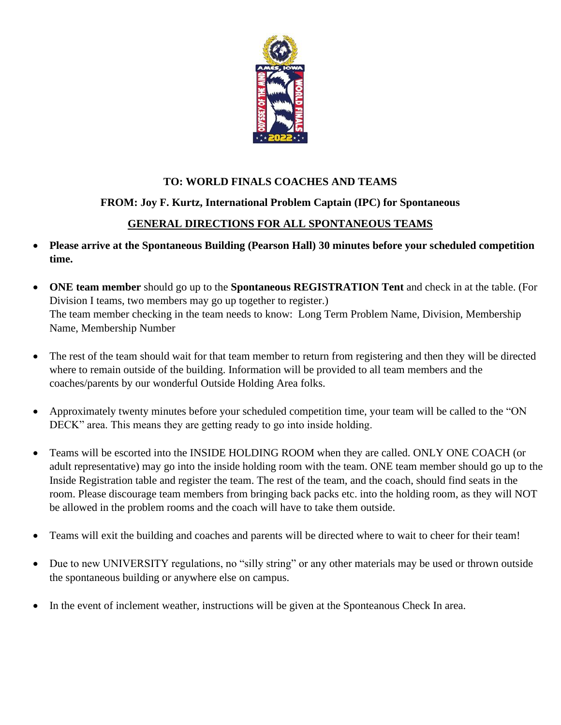

# **TO: WORLD FINALS COACHES AND TEAMS**

# **FROM: Joy F. Kurtz, International Problem Captain (IPC) for Spontaneous**

### **GENERAL DIRECTIONS FOR ALL SPONTANEOUS TEAMS**

- **Please arrive at the Spontaneous Building (Pearson Hall) 30 minutes before your scheduled competition time.**
- **ONE team member** should go up to the **Spontaneous REGISTRATION Tent** and check in at the table. (For Division I teams, two members may go up together to register.) The team member checking in the team needs to know: Long Term Problem Name, Division, Membership Name, Membership Number
- The rest of the team should wait for that team member to return from registering and then they will be directed where to remain outside of the building. Information will be provided to all team members and the coaches/parents by our wonderful Outside Holding Area folks.
- Approximately twenty minutes before your scheduled competition time, your team will be called to the "ON DECK" area. This means they are getting ready to go into inside holding.
- Teams will be escorted into the INSIDE HOLDING ROOM when they are called. ONLY ONE COACH (or adult representative) may go into the inside holding room with the team. ONE team member should go up to the Inside Registration table and register the team. The rest of the team, and the coach, should find seats in the room. Please discourage team members from bringing back packs etc. into the holding room, as they will NOT be allowed in the problem rooms and the coach will have to take them outside.
- Teams will exit the building and coaches and parents will be directed where to wait to cheer for their team!
- Due to new UNIVERSITY regulations, no "silly string" or any other materials may be used or thrown outside the spontaneous building or anywhere else on campus.
- In the event of inclement weather, instructions will be given at the Sponteanous Check In area.